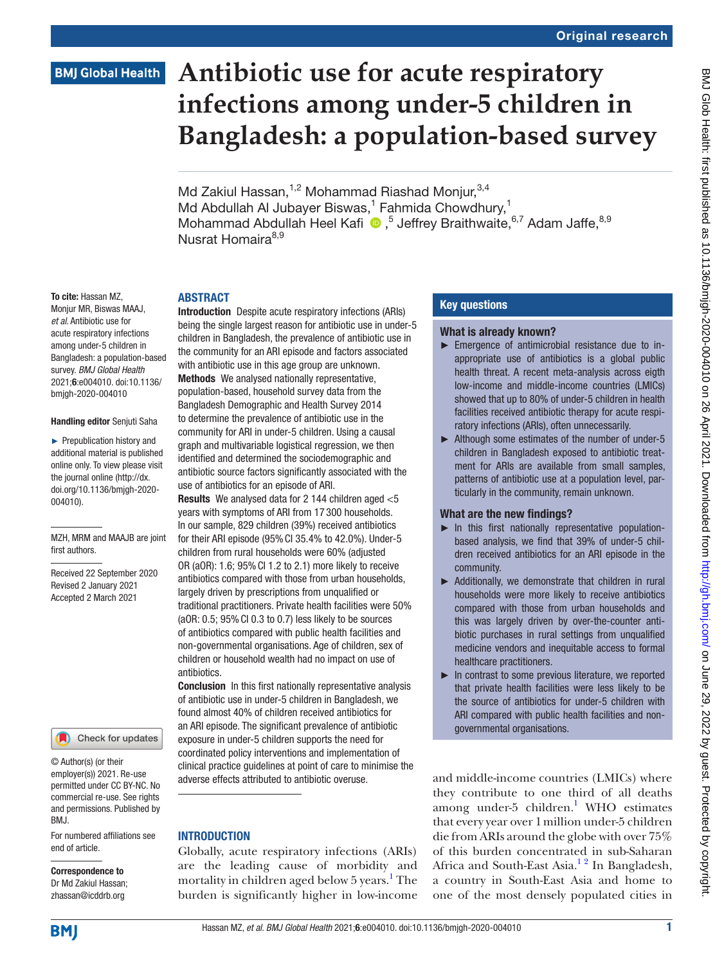# **BMJ Global Health**

# **Antibiotic use for acute respiratory infections among under-5 children in Bangladesh: a population-based survey**

Md Zakiul Hassan,  $1,2$  Mohammad Riashad Monjur,  $3,4$ Md Abdullah Al Jubayer Biswas,<sup>1</sup> Fahmida Chowdhury,<sup>1</sup> MohammadAbdullah Heel Kafi <sup>®</sup>,<sup>5</sup> Jeffrey Braithwaite,<sup>6,7</sup> Adam Jaffe,<sup>8,9</sup> Nusrat Homaira<sup>8,9</sup>

#### **ARSTRACT**

To cite: Hassan MZ, Monjur MR, Biswas MAAJ, *et al*. Antibiotic use for acute respiratory infections among under-5 children in Bangladesh: a population-based survey. *BMJ Global Health* 2021;6:e004010. doi:10.1136/ bmjgh-2020-004010

#### Handling editor Senjuti Saha

► Prepublication history and additional material is published online only. To view please visit the journal online (http://dx. doi.org/10.1136/bmjgh-2020- 004010).

MZH, MRM and MAAJB are joint first authors.

Received 22 September 2020 Revised 2 January 2021 Accepted 2 March 2021



© Author(s) (or their employer(s)) 2021. Re-use permitted under CC BY-NC. No commercial re-use. See rights and permissions. Published by BMJ.

For numbered affiliations see end of article.

#### Correspondence to Dr Md Zakiul Hassan; zhassan@icddrb.org

Introduction Despite acute respiratory infections (ARIs) being the single largest reason for antibiotic use in under-5 children in Bangladesh, the prevalence of antibiotic use in the community for an ARI episode and factors associated with antibiotic use in this age group are unknown. Methods We analysed nationally representative. population-based, household survey data from the Bangladesh Demographic and Health Survey 2014 to determine the prevalence of antibiotic use in the community for ARI in under-5 children. Using a causal graph and multivariable logistical regression, we then identified and determined the sociodemographic and antibiotic source factors significantly associated with the use of antibiotics for an episode of ARI.

Results We analysed data for 2 144 children aged <5 years with symptoms of ARI from 17 300 households. In our sample, 829 children (39%) received antibiotics for their ARI episode (95%CI 35.4% to 42.0%). Under-5 children from rural households were 60% (adjusted OR (aOR): 1.6; 95%CI 1.2 to 2.1) more likely to receive antibiotics compared with those from urban households, largely driven by prescriptions from unqualified or traditional practitioners. Private health facilities were 50% (aOR: 0.5; 95%CI 0.3 to 0.7) less likely to be sources of antibiotics compared with public health facilities and non-governmental organisations. Age of children, sex of children or household wealth had no impact on use of antibiotics.

Conclusion In this first nationally representative analysis of antibiotic use in under-5 children in Bangladesh, we found almost 40% of children received antibiotics for an ARI episode. The significant prevalence of antibiotic exposure in under-5 children supports the need for coordinated policy interventions and implementation of clinical practice guidelines at point of care to minimise the adverse effects attributed to antibiotic overuse.

# **INTRODUCTION**

Globally, acute respiratory infections (ARIs) are the leading cause of morbidity and mortality in children aged below 5 years.<sup>[1](#page-11-0)</sup> The burden is significantly higher in low-income

# Key questions

#### What is already known?

- ► Emergence of antimicrobial resistance due to inappropriate use of antibiotics is a global public health threat. A recent meta-analysis across eigth low-income and middle-income countries (LMICs) showed that up to 80% of under-5 children in health facilities received antibiotic therapy for acute respiratory infections (ARIs), often unnecessarily.
- ► Although some estimates of the number of under-5 children in Bangladesh exposed to antibiotic treatment for ARIs are available from small samples, patterns of antibiotic use at a population level, particularly in the community, remain unknown.

# What are the new findings?

- ► In this first nationally representative populationbased analysis, we find that 39% of under-5 children received antibiotics for an ARI episode in the community.
- ► Additionally, we demonstrate that children in rural households were more likely to receive antibiotics compared with those from urban households and this was largely driven by over-the-counter antibiotic purchases in rural settings from unqualified medicine vendors and inequitable access to formal healthcare practitioners.
- ► In contrast to some previous literature, we reported that private health facilities were less likely to be the source of antibiotics for under-5 children with ARI compared with public health facilities and nongovernmental organisations.

and middle-income countries (LMICs) where they contribute to one third of all deaths among under-5 children.<sup>1</sup> WHO estimates that every year over 1million under-5 children die from ARIs around the globe with over 75% of this burden concentrated in sub-Saharan Africa and South-East Asia.<sup>12</sup> In Bangladesh, a country in South-East Asia and home to one of the most densely populated cities in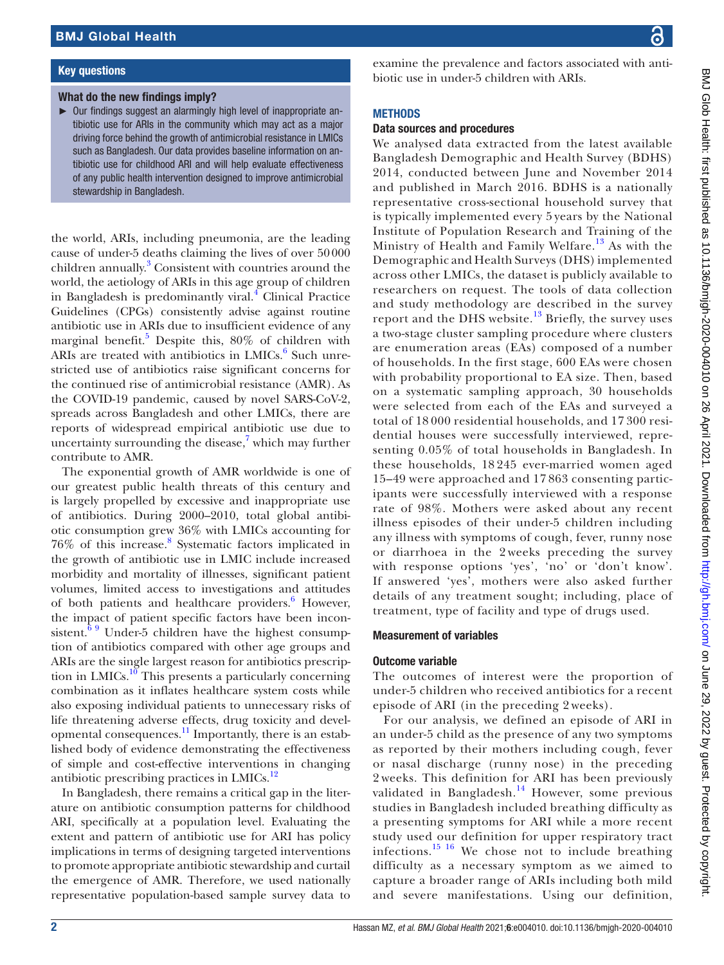# Key questions

# What do the new findings imply?

► Our findings suggest an alarmingly high level of inappropriate antibiotic use for ARIs in the community which may act as a major driving force behind the growth of antimicrobial resistance in LMICs such as Bangladesh. Our data provides baseline information on antibiotic use for childhood ARI and will help evaluate effectiveness of any public health intervention designed to improve antimicrobial stewardship in Bangladesh.

the world, ARIs, including pneumonia, are the leading cause of under-5 deaths claiming the lives of over 50000 children annually. [3](#page-11-1) Consistent with countries around the world, the aetiology of ARIs in this age group of children in Bangladesh is predominantly viral.<sup>[4](#page-11-2)</sup> Clinical Practice Guidelines (CPGs) consistently advise against routine antibiotic use in ARIs due to insufficient evidence of any marginal benefit.<sup>[5](#page-11-3)</sup> Despite this, 80% of children with ARIs are treated with antibiotics in LMICs.<sup>[6](#page-11-4)</sup> Such unrestricted use of antibiotics raise significant concerns for the continued rise of antimicrobial resistance (AMR). As the COVID-19 pandemic, caused by novel SARS-CoV-2, spreads across Bangladesh and other LMICs, there are reports of widespread empirical antibiotic use due to uncertainty surrounding the disease, $7$  which may further contribute to AMR.

The exponential growth of AMR worldwide is one of our greatest public health threats of this century and is largely propelled by excessive and inappropriate use of antibiotics. During 2000–2010, total global antibiotic consumption grew 36% with LMICs accounting for 76% of this increase.[8](#page-11-6) Systematic factors implicated in the growth of antibiotic use in LMIC include increased morbidity and mortality of illnesses, significant patient volumes, limited access to investigations and attitudes of both patients and healthcare providers.<sup>6</sup> However, the impact of patient specific factors have been inconsistent. $69$  Under-5 children have the highest consumption of antibiotics compared with other age groups and ARIs are the single largest reason for antibiotics prescription in LMICs. $10$  This presents a particularly concerning combination as it inflates healthcare system costs while also exposing individual patients to unnecessary risks of life threatening adverse effects, drug toxicity and developmental consequences.[11](#page-11-8) Importantly, there is an established body of evidence demonstrating the effectiveness of simple and cost-effective interventions in changing antibiotic prescribing practices in LMICs.<sup>[12](#page-11-9)</sup>

In Bangladesh, there remains a critical gap in the literature on antibiotic consumption patterns for childhood ARI, specifically at a population level. Evaluating the extent and pattern of antibiotic use for ARI has policy implications in terms of designing targeted interventions to promote appropriate antibiotic stewardship and curtail the emergence of AMR. Therefore, we used nationally representative population-based sample survey data to

examine the prevalence and factors associated with antibiotic use in under-5 children with ARIs.

# **METHODS**

# Data sources and procedures

We analysed data extracted from the latest available Bangladesh Demographic and Health Survey (BDHS) 2014, conducted between June and November 2014 and published in March 2016. BDHS is a nationally representative cross-sectional household survey that is typically implemented every 5 years by the National Institute of Population Research and Training of the Ministry of Health and Family Welfare.<sup>[13](#page-11-10)</sup> As with the Demographic and Health Surveys (DHS) implemented across other LMICs, the dataset is publicly available to researchers on request. The tools of data collection and study methodology are described in the survey report and the DHS website. $13$  Briefly, the survey uses a two-stage cluster sampling procedure where clusters are enumeration areas (EAs) composed of a number of households. In the first stage, 600 EAs were chosen with probability proportional to EA size. Then, based on a systematic sampling approach, 30 households were selected from each of the EAs and surveyed a total of 18 000 residential households, and 17 300 residential houses were successfully interviewed, representing 0.05% of total households in Bangladesh. In these households, 18 245 ever-married women aged 15–49 were approached and 17 863 consenting participants were successfully interviewed with a response rate of 98%. Mothers were asked about any recent illness episodes of their under-5 children including any illness with symptoms of cough, fever, runny nose or diarrhoea in the 2 weeks preceding the survey with response options 'yes', 'no' or 'don't know'. If answered 'yes', mothers were also asked further details of any treatment sought; including, place of treatment, type of facility and type of drugs used.

# Measurement of variables

# Outcome variable

The outcomes of interest were the proportion of under-5 children who received antibiotics for a recent episode of ARI (in the preceding 2 weeks).

For our analysis, we defined an episode of ARI in an under-5 child as the presence of any two symptoms as reported by their mothers including cough, fever or nasal discharge (runny nose) in the preceding 2 weeks. This definition for ARI has been previously validated in Bangladesh. $14$  However, some previous studies in Bangladesh included breathing difficulty as a presenting symptoms for ARI while a more recent study used our definition for upper respiratory tract infections.[15 16](#page-11-12) We chose not to include breathing difficulty as a necessary symptom as we aimed to capture a broader range of ARIs including both mild and severe manifestations. Using our definition,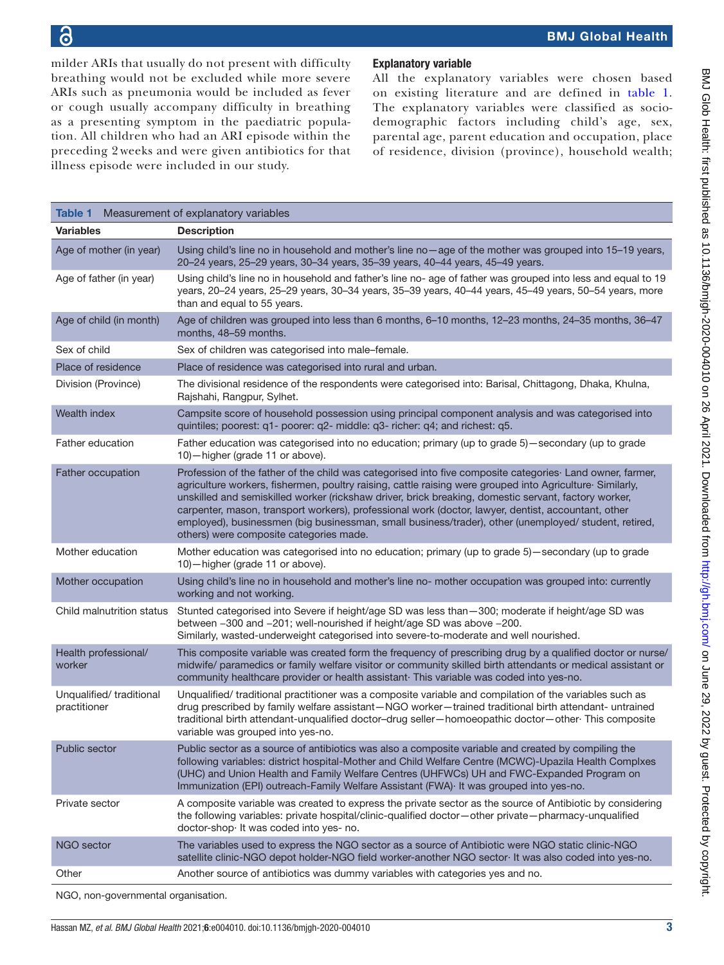milder ARIs that usually do not present with difficulty breathing would not be excluded while more severe ARIs such as pneumonia would be included as fever or cough usually accompany difficulty in breathing as a presenting symptom in the paediatric population. All children who had an ARI episode within the preceding 2 weeks and were given antibiotics for that illness episode were included in our study.

# Explanatory variable

All the explanatory variables were chosen based on existing literature and are defined in [table](#page-2-0) 1. The explanatory variables were classified as sociodemographic factors including child's age, sex, parental age, parent education and occupation, place of residence, division (province), household wealth;

<span id="page-2-0"></span>

| Table 1                                 | Measurement of explanatory variables                                                                                                                                                                                                                                                                                                                                                                                                                                                                                                                                                                  |
|-----------------------------------------|-------------------------------------------------------------------------------------------------------------------------------------------------------------------------------------------------------------------------------------------------------------------------------------------------------------------------------------------------------------------------------------------------------------------------------------------------------------------------------------------------------------------------------------------------------------------------------------------------------|
| <b>Variables</b>                        | <b>Description</b>                                                                                                                                                                                                                                                                                                                                                                                                                                                                                                                                                                                    |
| Age of mother (in year)                 | Using child's line no in household and mother's line no-age of the mother was grouped into 15-19 years,<br>20-24 years, 25-29 years, 30-34 years, 35-39 years, 40-44 years, 45-49 years.                                                                                                                                                                                                                                                                                                                                                                                                              |
| Age of father (in year)                 | Using child's line no in household and father's line no- age of father was grouped into less and equal to 19<br>years, 20-24 years, 25-29 years, 30-34 years, 35-39 years, 40-44 years, 45-49 years, 50-54 years, more<br>than and equal to 55 years.                                                                                                                                                                                                                                                                                                                                                 |
| Age of child (in month)                 | Age of children was grouped into less than 6 months, 6-10 months, 12-23 months, 24-35 months, 36-47<br>months, 48-59 months.                                                                                                                                                                                                                                                                                                                                                                                                                                                                          |
| Sex of child                            | Sex of children was categorised into male-female.                                                                                                                                                                                                                                                                                                                                                                                                                                                                                                                                                     |
| Place of residence                      | Place of residence was categorised into rural and urban.                                                                                                                                                                                                                                                                                                                                                                                                                                                                                                                                              |
| Division (Province)                     | The divisional residence of the respondents were categorised into: Barisal, Chittagong, Dhaka, Khulna,<br>Rajshahi, Rangpur, Sylhet.                                                                                                                                                                                                                                                                                                                                                                                                                                                                  |
| Wealth index                            | Campsite score of household possession using principal component analysis and was categorised into<br>quintiles; poorest: q1- poorer: q2- middle: q3- richer: q4; and richest: q5.                                                                                                                                                                                                                                                                                                                                                                                                                    |
| Father education                        | Father education was categorised into no education; primary (up to grade 5) - secondary (up to grade<br>10)-higher (grade 11 or above).                                                                                                                                                                                                                                                                                                                                                                                                                                                               |
| Father occupation                       | Profession of the father of the child was categorised into five composite categories· Land owner, farmer,<br>agriculture workers, fishermen, poultry raising, cattle raising were grouped into Agriculture <sup>.</sup> Similarly,<br>unskilled and semiskilled worker (rickshaw driver, brick breaking, domestic servant, factory worker,<br>carpenter, mason, transport workers), professional work (doctor, lawyer, dentist, accountant, other<br>employed), businessmen (big businessman, small business/trader), other (unemployed/ student, retired,<br>others) were composite categories made. |
| Mother education                        | Mother education was categorised into no education; primary (up to grade 5)-secondary (up to grade<br>10)-higher (grade 11 or above).                                                                                                                                                                                                                                                                                                                                                                                                                                                                 |
| Mother occupation                       | Using child's line no in household and mother's line no- mother occupation was grouped into: currently<br>working and not working.                                                                                                                                                                                                                                                                                                                                                                                                                                                                    |
| Child malnutrition status               | Stunted categorised into Severe if height/age SD was less than - 300; moderate if height/age SD was<br>between -300 and -201; well-nourished if height/age SD was above -200.<br>Similarly, wasted-underweight categorised into severe-to-moderate and well nourished.                                                                                                                                                                                                                                                                                                                                |
| Health professional/<br>worker          | This composite variable was created form the frequency of prescribing drug by a qualified doctor or nurse/<br>midwife/ paramedics or family welfare visitor or community skilled birth attendants or medical assistant or<br>community healthcare provider or health assistant This variable was coded into yes-no.                                                                                                                                                                                                                                                                                   |
| Unqualified/traditional<br>practitioner | Unqualified/ traditional practitioner was a composite variable and compilation of the variables such as<br>drug prescribed by family welfare assistant-NGO worker-trained traditional birth attendant- untrained<br>traditional birth attendant-unqualified doctor-drug seller-homoeopathic doctor-other This composite<br>variable was grouped into yes-no.                                                                                                                                                                                                                                          |
| Public sector                           | Public sector as a source of antibiotics was also a composite variable and created by compiling the<br>following variables: district hospital-Mother and Child Welfare Centre (MCWC)-Upazila Health Complxes<br>(UHC) and Union Health and Family Welfare Centres (UHFWCs) UH and FWC-Expanded Program on<br>Immunization (EPI) outreach-Family Welfare Assistant (FWA) It was grouped into yes-no.                                                                                                                                                                                                   |
| Private sector                          | A composite variable was created to express the private sector as the source of Antibiotic by considering<br>the following variables: private hospital/clinic-qualified doctor-other private-pharmacy-unqualified<br>doctor-shop It was coded into yes- no.                                                                                                                                                                                                                                                                                                                                           |
| NGO sector                              | The variables used to express the NGO sector as a source of Antibiotic were NGO static clinic-NGO<br>satellite clinic-NGO depot holder-NGO field worker-another NGO sector It was also coded into yes-no.                                                                                                                                                                                                                                                                                                                                                                                             |
| Other                                   | Another source of antibiotics was dummy variables with categories yes and no.                                                                                                                                                                                                                                                                                                                                                                                                                                                                                                                         |
|                                         |                                                                                                                                                                                                                                                                                                                                                                                                                                                                                                                                                                                                       |

NGO, non-governmental organisation.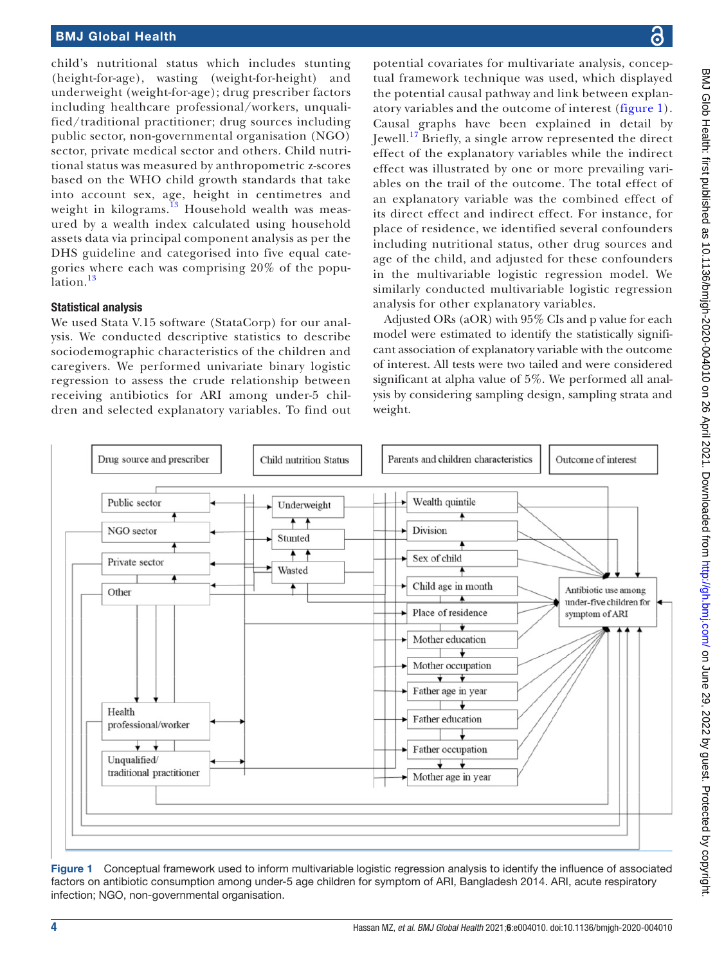# BMJ Global Health

child's nutritional status which includes stunting (height-for-age), wasting (weight-for-height) and underweight (weight-for-age); drug prescriber factors including healthcare professional/workers, unqualified/traditional practitioner; drug sources including public sector, non-governmental organisation (NGO) sector, private medical sector and others. Child nutritional status was measured by anthropometric z-scores based on the WHO child growth standards that take into account sex, age, height in centimetres and weight in kilograms. $^{13}$  $^{13}$  $^{13}$  Household wealth was measured by a wealth index calculated using household assets data via principal component analysis as per the DHS guideline and categorised into five equal categories where each was comprising 20% of the popu-lation.<sup>[13](#page-11-10)</sup>

#### Statistical analysis

We used Stata V.15 software (StataCorp) for our analysis. We conducted descriptive statistics to describe sociodemographic characteristics of the children and caregivers. We performed univariate binary logistic regression to assess the crude relationship between receiving antibiotics for ARI among under-5 children and selected explanatory variables. To find out

potential covariates for multivariate analysis, conceptual framework technique was used, which displayed the potential causal pathway and link between explanatory variables and the outcome of interest [\(figure](#page-3-0) 1). Causal graphs have been explained in detail by Jewell.[17](#page-12-0) Briefly, a single arrow represented the direct effect of the explanatory variables while the indirect effect was illustrated by one or more prevailing variables on the trail of the outcome. The total effect of an explanatory variable was the combined effect of its direct effect and indirect effect. For instance, for place of residence, we identified several confounders including nutritional status, other drug sources and age of the child, and adjusted for these confounders in the multivariable logistic regression model. We similarly conducted multivariable logistic regression analysis for other explanatory variables.

Adjusted ORs (aOR) with 95% CIs and p value for each model were estimated to identify the statistically significant association of explanatory variable with the outcome of interest. All tests were two tailed and were considered significant at alpha value of 5%. We performed all analysis by considering sampling design, sampling strata and weight.



<span id="page-3-0"></span>Figure 1 Conceptual framework used to inform multivariable logistic regression analysis to identify the influence of associated factors on antibiotic consumption among under-5 age children for symptom of ARI, Bangladesh 2014. ARI, acute respiratory infection; NGO, non-governmental organisation.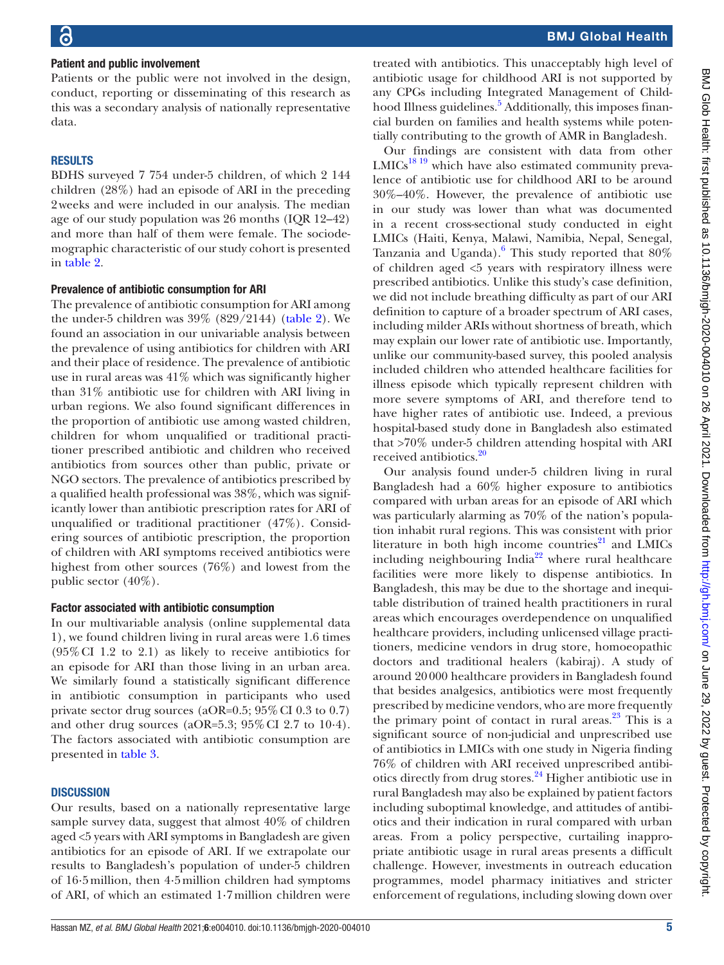#### Patient and public involvement

Patients or the public were not involved in the design, conduct, reporting or disseminating of this research as this was a secondary analysis of nationally representative data.

#### RESULTS

BDHS surveyed 7 754 under-5 children, of which 2 144 children (28%) had an episode of ARI in the preceding 2weeks and were included in our analysis. The median age of our study population was 26 months (IQR 12–42) and more than half of them were female. The sociodemographic characteristic of our study cohort is presented in [table](#page-5-0) 2.

#### Prevalence of antibiotic consumption for ARI

The prevalence of antibiotic consumption for ARI among the under-5 children was 39% (829/2144) [\(table](#page-5-0) 2). We found an association in our univariable analysis between the prevalence of using antibiotics for children with ARI and their place of residence. The prevalence of antibiotic use in rural areas was 41% which was significantly higher than 31% antibiotic use for children with ARI living in urban regions. We also found significant differences in the proportion of antibiotic use among wasted children, children for whom unqualified or traditional practitioner prescribed antibiotic and children who received antibiotics from sources other than public, private or NGO sectors. The prevalence of antibiotics prescribed by a qualified health professional was 38%, which was significantly lower than antibiotic prescription rates for ARI of unqualified or traditional practitioner (47%). Considering sources of antibiotic prescription, the proportion of children with ARI symptoms received antibiotics were highest from other sources (76%) and lowest from the public sector (40%).

#### Factor associated with antibiotic consumption

In our multivariable analysis [\(online supplemental data](https://dx.doi.org/10.1136/bmjgh-2020-004010) [1](https://dx.doi.org/10.1136/bmjgh-2020-004010)), we found children living in rural areas were 1.6 times (95%CI 1.2 to 2.1) as likely to receive antibiotics for an episode for ARI than those living in an urban area. We similarly found a statistically significant difference in antibiotic consumption in participants who used private sector drug sources (aOR=0.5; 95% CI 0.3 to 0.7) and other drug sources (aOR=5.3;  $95\%$  CI 2.7 to 10.4). The factors associated with antibiotic consumption are presented in [table](#page-8-0) 3.

#### **DISCUSSION**

Our results, based on a nationally representative large sample survey data, suggest that almost 40% of children aged <5 years with ARI symptoms in Bangladesh are given antibiotics for an episode of ARI. If we extrapolate our results to Bangladesh's population of under-5 children of 16·5million, then 4·5million children had symptoms of ARI, of which an estimated 1·7million children were

treated with antibiotics. This unacceptably high level of antibiotic usage for childhood ARI is not supported by any CPGs including Integrated Management of Child-hood Illness guidelines.<sup>[5](#page-11-3)</sup> Additionally, this imposes financial burden on families and health systems while potentially contributing to the growth of AMR in Bangladesh.

Our findings are consistent with data from other  $LMICs<sup>18 19</sup>$  $LMICs<sup>18 19</sup>$  $LMICs<sup>18 19</sup>$  which have also estimated community prevalence of antibiotic use for childhood ARI to be around 30%–40%. However, the prevalence of antibiotic use in our study was lower than what was documented in a recent cross-sectional study conducted in eight LMICs (Haiti, Kenya, Malawi, Namibia, Nepal, Senegal, Tanzania and Uganda). $6$  This study reported that  $80\%$ of children aged <5 years with respiratory illness were prescribed antibiotics. Unlike this study's case definition, we did not include breathing difficulty as part of our ARI definition to capture of a broader spectrum of ARI cases, including milder ARIs without shortness of breath, which may explain our lower rate of antibiotic use. Importantly, unlike our community-based survey, this pooled analysis included children who attended healthcare facilities for illness episode which typically represent children with more severe symptoms of ARI, and therefore tend to have higher rates of antibiotic use. Indeed, a previous hospital-based study done in Bangladesh also estimated that >70% under-5 children attending hospital with ARI received antibiotics.<sup>20</sup>

Our analysis found under-5 children living in rural Bangladesh had a 60% higher exposure to antibiotics compared with urban areas for an episode of ARI which was particularly alarming as 70% of the nation's population inhabit rural regions. This was consistent with prior literature in both high income countries $^{21}$  and LMICs including neighbouring India<sup>22</sup> where rural healthcare facilities were more likely to dispense antibiotics. In Bangladesh, this may be due to the shortage and inequitable distribution of trained health practitioners in rural areas which encourages overdependence on unqualified healthcare providers, including unlicensed village practitioners, medicine vendors in drug store, homoeopathic doctors and traditional healers (kabiraj). A study of around 20000 healthcare providers in Bangladesh found that besides analgesics, antibiotics were most frequently prescribed by medicine vendors, who are more frequently the primary point of contact in rural areas. $23$  This is a significant source of non-judicial and unprescribed use of antibiotics in LMICs with one study in Nigeria finding 76% of children with ARI received unprescribed antibiotics directly from drug stores.[24](#page-12-6) Higher antibiotic use in rural Bangladesh may also be explained by patient factors including suboptimal knowledge, and attitudes of antibiotics and their indication in rural compared with urban areas. From a policy perspective, curtailing inappropriate antibiotic usage in rural areas presents a difficult challenge. However, investments in outreach education programmes, model pharmacy initiatives and stricter enforcement of regulations, including slowing down over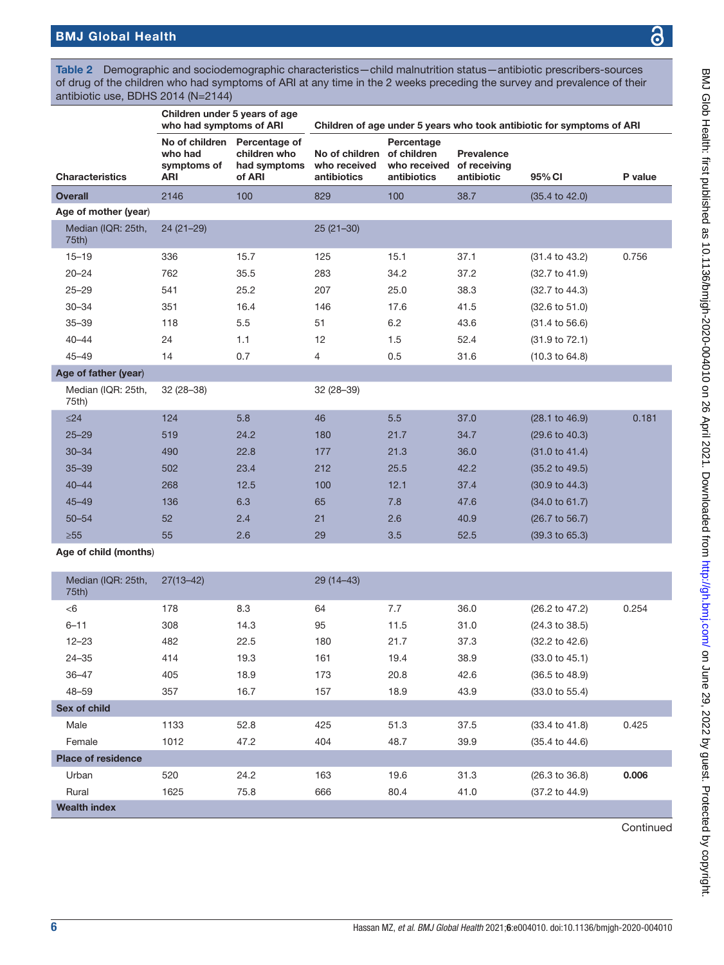<span id="page-5-0"></span>

|                             |                                                        | Children under 5 years of age<br>who had symptoms of ARI<br>Children of age under 5 years who took antibiotic for symptoms of ARI |                                               |                                                          |                                          |                           |         |
|-----------------------------|--------------------------------------------------------|-----------------------------------------------------------------------------------------------------------------------------------|-----------------------------------------------|----------------------------------------------------------|------------------------------------------|---------------------------|---------|
| <b>Characteristics</b>      | No of children<br>who had<br>symptoms of<br><b>ARI</b> | Percentage of<br>children who<br>had symptoms<br>of ARI                                                                           | No of children<br>who received<br>antibiotics | Percentage<br>of children<br>who received<br>antibiotics | Prevalence<br>of receiving<br>antibiotic | 95% CI                    | P value |
| <b>Overall</b>              | 2146                                                   | 100                                                                                                                               | 829                                           | 100                                                      | 38.7                                     | $(35.4 \text{ to } 42.0)$ |         |
| Age of mother (year)        |                                                        |                                                                                                                                   |                                               |                                                          |                                          |                           |         |
| Median (IQR: 25th,<br>75th) | $24(21-29)$                                            |                                                                                                                                   | $25(21-30)$                                   |                                                          |                                          |                           |         |
| $15 - 19$                   | 336                                                    | 15.7                                                                                                                              | 125                                           | 15.1                                                     | 37.1                                     | $(31.4 \text{ to } 43.2)$ | 0.756   |
| $20 - 24$                   | 762                                                    | 35.5                                                                                                                              | 283                                           | 34.2                                                     | 37.2                                     | $(32.7 \text{ to } 41.9)$ |         |
| $25 - 29$                   | 541                                                    | 25.2                                                                                                                              | 207                                           | 25.0                                                     | 38.3                                     | $(32.7 \text{ to } 44.3)$ |         |
| $30 - 34$                   | 351                                                    | 16.4                                                                                                                              | 146                                           | 17.6                                                     | 41.5                                     | $(32.6 \text{ to } 51.0)$ |         |
| $35 - 39$                   | 118                                                    | 5.5                                                                                                                               | 51                                            | 6.2                                                      | 43.6                                     | $(31.4 \text{ to } 56.6)$ |         |
| $40 - 44$                   | 24                                                     | 1.1                                                                                                                               | 12                                            | 1.5                                                      | 52.4                                     | (31.9 to 72.1)            |         |
| $45 - 49$                   | 14                                                     | 0.7                                                                                                                               | 4                                             | 0.5                                                      | 31.6                                     | (10.3 to 64.8)            |         |
| Age of father (year)        |                                                        |                                                                                                                                   |                                               |                                                          |                                          |                           |         |
| Median (IQR: 25th,<br>75th) | $32(28-38)$                                            |                                                                                                                                   | $32(28-39)$                                   |                                                          |                                          |                           |         |
| $\leq$ 24                   | 124                                                    | 5.8                                                                                                                               | 46                                            | 5.5                                                      | 37.0                                     | $(28.1 \text{ to } 46.9)$ | 0.181   |
| $25 - 29$                   | 519                                                    | 24.2                                                                                                                              | 180                                           | 21.7                                                     | 34.7                                     | $(29.6 \text{ to } 40.3)$ |         |
| $30 - 34$                   | 490                                                    | 22.8                                                                                                                              | 177                                           | 21.3                                                     | 36.0                                     | $(31.0 \text{ to } 41.4)$ |         |
| $35 - 39$                   | 502                                                    | 23.4                                                                                                                              | 212                                           | 25.5                                                     | 42.2                                     | $(35.2 \text{ to } 49.5)$ |         |
| $40 - 44$                   | 268                                                    | 12.5                                                                                                                              | 100                                           | 12.1                                                     | 37.4                                     | (30.9 to 44.3)            |         |
| $45 - 49$                   | 136                                                    | 6.3                                                                                                                               | 65                                            | 7.8                                                      | 47.6                                     | (34.0 to 61.7)            |         |
| $50 - 54$                   | 52                                                     | 2.4                                                                                                                               | 21                                            | 2.6                                                      | 40.9                                     | (26.7 to 56.7)            |         |
| $\geq 55$                   | 55                                                     | 2.6                                                                                                                               | 29                                            | 3.5                                                      | 52.5                                     | $(39.3 \text{ to } 65.3)$ |         |

Age of child (months)

| Median (IQR: 25th,        | $27(13 - 42)$ |      | $29(14 - 43)$ |      |      |                           |       |
|---------------------------|---------------|------|---------------|------|------|---------------------------|-------|
| 75th)                     |               |      |               |      |      |                           |       |
| < 6                       | 178           | 8.3  | 64            | 7.7  | 36.0 | $(26.2 \text{ to } 47.2)$ | 0.254 |
| $6 - 11$                  | 308           | 14.3 | 95            | 11.5 | 31.0 | $(24.3 \text{ to } 38.5)$ |       |
| $12 - 23$                 | 482           | 22.5 | 180           | 21.7 | 37.3 | $(32.2 \text{ to } 42.6)$ |       |
| $24 - 35$                 | 414           | 19.3 | 161           | 19.4 | 38.9 | $(33.0 \text{ to } 45.1)$ |       |
| $36 - 47$                 | 405           | 18.9 | 173           | 20.8 | 42.6 | $(36.5 \text{ to } 48.9)$ |       |
| $48 - 59$                 | 357           | 16.7 | 157           | 18.9 | 43.9 | $(33.0 \text{ to } 55.4)$ |       |
| Sex of child              |               |      |               |      |      |                           |       |
| Male                      | 1133          | 52.8 | 425           | 51.3 | 37.5 | $(33.4 \text{ to } 41.8)$ | 0.425 |
| Female                    | 1012          | 47.2 | 404           | 48.7 | 39.9 | $(35.4 \text{ to } 44.6)$ |       |
| <b>Place of residence</b> |               |      |               |      |      |                           |       |
| Urban                     | 520           | 24.2 | 163           | 19.6 | 31.3 | $(26.3 \text{ to } 36.8)$ | 0.006 |
| Rural                     | 1625          | 75.8 | 666           | 80.4 | 41.0 | $(37.2 \text{ to } 44.9)$ |       |
| <b>Wealth index</b>       |               |      |               |      |      |                           |       |

**Continued**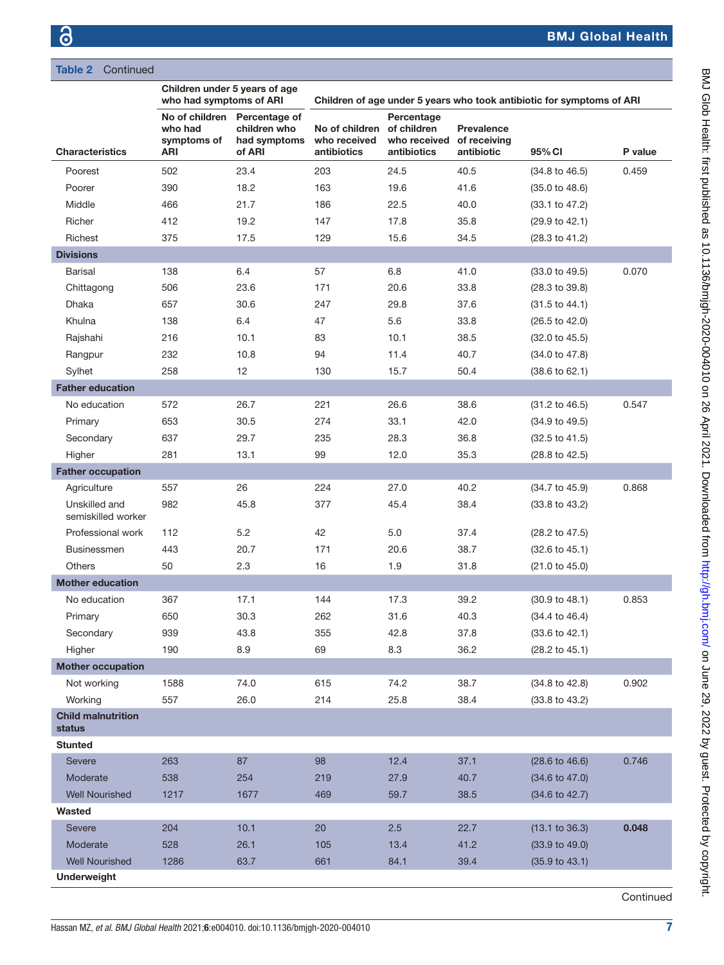# Table 2 Continued

|                                     | Children under 5 years of age<br>who had symptoms of ARI |                                                         | Children of age under 5 years who took antibiotic for symptoms of ARI |                                           |                                          |                           |         |
|-------------------------------------|----------------------------------------------------------|---------------------------------------------------------|-----------------------------------------------------------------------|-------------------------------------------|------------------------------------------|---------------------------|---------|
| <b>Characteristics</b>              | No of children<br>who had<br>symptoms of<br>ARI          | Percentage of<br>children who<br>had symptoms<br>of ARI | No of children of children<br>who received<br>antibiotics             | Percentage<br>who received<br>antibiotics | Prevalence<br>of receiving<br>antibiotic | 95% CI                    | P value |
| Poorest                             | 502                                                      | 23.4                                                    | 203                                                                   | 24.5                                      | 40.5                                     | $(34.8 \text{ to } 46.5)$ | 0.459   |
| Poorer                              | 390                                                      | 18.2                                                    | 163                                                                   | 19.6                                      | 41.6                                     | $(35.0 \text{ to } 48.6)$ |         |
| Middle                              | 466                                                      | 21.7                                                    | 186                                                                   | 22.5                                      | 40.0                                     | (33.1 to 47.2)            |         |
| Richer                              | 412                                                      | 19.2                                                    | 147                                                                   | 17.8                                      | 35.8                                     | (29.9 to 42.1)            |         |
| Richest                             | 375                                                      | 17.5                                                    | 129                                                                   | 15.6                                      | 34.5                                     | (28.3 to 41.2)            |         |
| <b>Divisions</b>                    |                                                          |                                                         |                                                                       |                                           |                                          |                           |         |
| <b>Barisal</b>                      | 138                                                      | 6.4                                                     | 57                                                                    | 6.8                                       | 41.0                                     | $(33.0 \text{ to } 49.5)$ | 0.070   |
| Chittagong                          | 506                                                      | 23.6                                                    | 171                                                                   | 20.6                                      | 33.8                                     | $(28.3 \text{ to } 39.8)$ |         |
| Dhaka                               | 657                                                      | 30.6                                                    | 247                                                                   | 29.8                                      | 37.6                                     | $(31.5 \text{ to } 44.1)$ |         |
| Khulna                              | 138                                                      | 6.4                                                     | 47                                                                    | 5.6                                       | 33.8                                     | $(26.5 \text{ to } 42.0)$ |         |
| Rajshahi                            | 216                                                      | 10.1                                                    | 83                                                                    | 10.1                                      | 38.5                                     | $(32.0 \text{ to } 45.5)$ |         |
| Rangpur                             | 232                                                      | 10.8                                                    | 94                                                                    | 11.4                                      | 40.7                                     | $(34.0 \text{ to } 47.8)$ |         |
| Sylhet                              | 258                                                      | 12                                                      | 130                                                                   | 15.7                                      | 50.4                                     | $(38.6 \text{ to } 62.1)$ |         |
| <b>Father education</b>             |                                                          |                                                         |                                                                       |                                           |                                          |                           |         |
| No education                        | 572                                                      | 26.7                                                    | 221                                                                   | 26.6                                      | 38.6                                     | $(31.2 \text{ to } 46.5)$ | 0.547   |
| Primary                             | 653                                                      | 30.5                                                    | 274                                                                   | 33.1                                      | 42.0                                     | $(34.9 \text{ to } 49.5)$ |         |
| Secondary                           | 637                                                      | 29.7                                                    | 235                                                                   | 28.3                                      | 36.8                                     | $(32.5 \text{ to } 41.5)$ |         |
| Higher                              | 281                                                      | 13.1                                                    | 99                                                                    | 12.0                                      | 35.3                                     | (28.8 to 42.5)            |         |
| <b>Father occupation</b>            |                                                          |                                                         |                                                                       |                                           |                                          |                           |         |
| Agriculture                         | 557                                                      | 26                                                      | 224                                                                   | 27.0                                      | 40.2                                     | $(34.7 \text{ to } 45.9)$ | 0.868   |
| Unskilled and<br>semiskilled worker | 982                                                      | 45.8                                                    | 377                                                                   | 45.4                                      | 38.4                                     | (33.8 to 43.2)            |         |
| Professional work                   | 112                                                      | 5.2                                                     | 42                                                                    | 5.0                                       | 37.4                                     | $(28.2 \text{ to } 47.5)$ |         |
| <b>Businessmen</b>                  | 443                                                      | 20.7                                                    | 171                                                                   | 20.6                                      | 38.7                                     | $(32.6 \text{ to } 45.1)$ |         |
| Others                              | 50                                                       | 2.3                                                     | 16                                                                    | 1.9                                       | 31.8                                     | (21.0 to 45.0)            |         |
| <b>Mother education</b>             |                                                          |                                                         |                                                                       |                                           |                                          |                           |         |
| No education                        | 367                                                      | 17.1                                                    | 144                                                                   | 17.3                                      | 39.2                                     | (30.9 to 48.1)            | 0.853   |
| Primary                             | 650                                                      | 30.3                                                    | 262                                                                   | 31.6                                      | 40.3                                     | $(34.4 \text{ to } 46.4)$ |         |
| Secondary                           | 939                                                      | 43.8                                                    | 355                                                                   | 42.8                                      | 37.8                                     | $(33.6 \text{ to } 42.1)$ |         |
| Higher                              | 190                                                      | 8.9                                                     | 69                                                                    | 8.3                                       | 36.2                                     | $(28.2 \text{ to } 45.1)$ |         |
| <b>Mother occupation</b>            |                                                          |                                                         |                                                                       |                                           |                                          |                           |         |
| Not working                         | 1588                                                     | 74.0                                                    | 615                                                                   | 74.2                                      | 38.7                                     | $(34.8 \text{ to } 42.8)$ | 0.902   |
| Working                             | 557                                                      | 26.0                                                    | 214                                                                   | 25.8                                      | 38.4                                     | $(33.8 \text{ to } 43.2)$ |         |
| <b>Child malnutrition</b><br>status |                                                          |                                                         |                                                                       |                                           |                                          |                           |         |
| <b>Stunted</b>                      |                                                          |                                                         |                                                                       |                                           |                                          |                           |         |
| Severe                              | 263                                                      | 87                                                      | 98                                                                    | 12.4                                      | 37.1                                     | $(28.6 \text{ to } 46.6)$ | 0.746   |
| Moderate                            | 538                                                      | 254                                                     | 219                                                                   | 27.9                                      | 40.7                                     | $(34.6 \text{ to } 47.0)$ |         |
| <b>Well Nourished</b>               | 1217                                                     | 1677                                                    | 469                                                                   | 59.7                                      | 38.5                                     | $(34.6 \text{ to } 42.7)$ |         |
| Wasted                              |                                                          |                                                         |                                                                       |                                           |                                          |                           |         |
| <b>Severe</b>                       | 204                                                      | 10.1                                                    | 20                                                                    | 2.5                                       | 22.7                                     | (13.1 to 36.3)            | 0.048   |
| Moderate                            | 528                                                      | 26.1                                                    | 105                                                                   | 13.4                                      | 41.2                                     | $(33.9 \text{ to } 49.0)$ |         |
| <b>Well Nourished</b>               | 1286                                                     | 63.7                                                    | 661                                                                   | 84.1                                      | 39.4                                     | $(35.9 \text{ to } 43.1)$ |         |
| <b>Underweight</b>                  |                                                          |                                                         |                                                                       |                                           |                                          |                           |         |

BMJ Glob Health: first published as 10.1136/bmigh-2020-004010 on 26 April 2021. Downloaded from http://gh.bmj.com/ on June 29, 2022 by guest. Protected by copyright. BMJ Glob Health: first published as 10.1136/bmjgh-2020-004010 on 26 April 2021. Downloaded from <http://gh.bmj.com/> on June 29, 2022 by guest. Protected by copyright

**Continued**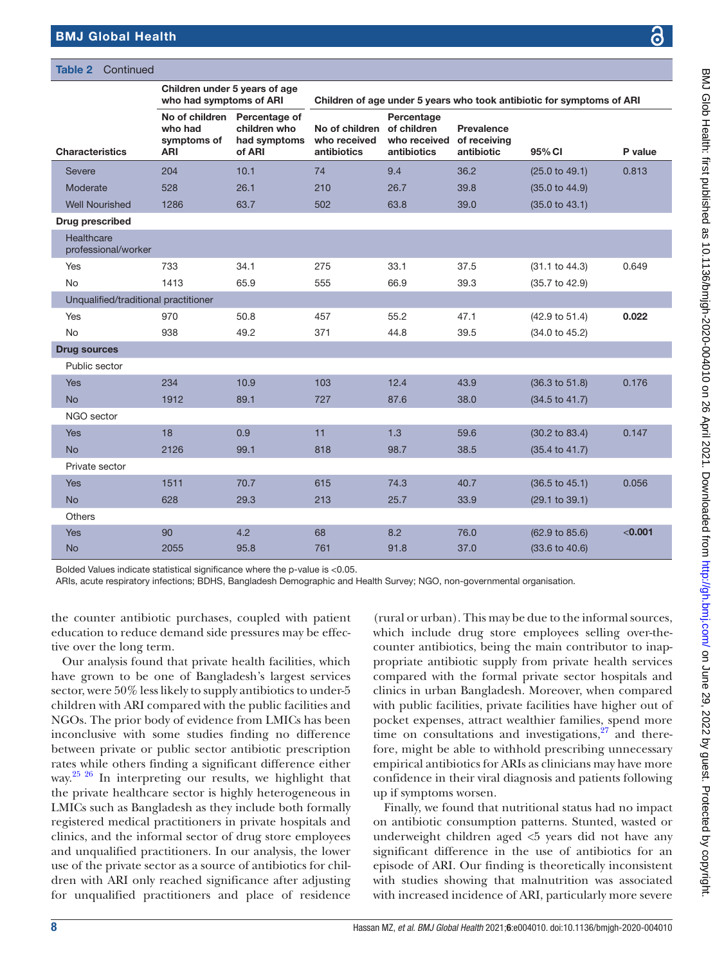Table 2 Continued

| コンピット コンピューター                                                                                                                                                                                                                  |
|--------------------------------------------------------------------------------------------------------------------------------------------------------------------------------------------------------------------------------|
|                                                                                                                                                                                                                                |
|                                                                                                                                                                                                                                |
|                                                                                                                                                                                                                                |
| ŗ                                                                                                                                                                                                                              |
|                                                                                                                                                                                                                                |
|                                                                                                                                                                                                                                |
|                                                                                                                                                                                                                                |
|                                                                                                                                                                                                                                |
|                                                                                                                                                                                                                                |
|                                                                                                                                                                                                                                |
|                                                                                                                                                                                                                                |
|                                                                                                                                                                                                                                |
|                                                                                                                                                                                                                                |
|                                                                                                                                                                                                                                |
|                                                                                                                                                                                                                                |
|                                                                                                                                                                                                                                |
|                                                                                                                                                                                                                                |
|                                                                                                                                                                                                                                |
|                                                                                                                                                                                                                                |
|                                                                                                                                                                                                                                |
| first contribution and additional control control of the second contribution of the contribution of the first contribution of the contribution of the contribution of the contribution of the contribution of the contribution |
|                                                                                                                                                                                                                                |
|                                                                                                                                                                                                                                |
|                                                                                                                                                                                                                                |
|                                                                                                                                                                                                                                |
|                                                                                                                                                                                                                                |
|                                                                                                                                                                                                                                |
|                                                                                                                                                                                                                                |
|                                                                                                                                                                                                                                |
|                                                                                                                                                                                                                                |
|                                                                                                                                                                                                                                |
|                                                                                                                                                                                                                                |
|                                                                                                                                                                                                                                |
|                                                                                                                                                                                                                                |
|                                                                                                                                                                                                                                |
|                                                                                                                                                                                                                                |
|                                                                                                                                                                                                                                |
|                                                                                                                                                                                                                                |
|                                                                                                                                                                                                                                |
|                                                                                                                                                                                                                                |
|                                                                                                                                                                                                                                |
|                                                                                                                                                                                                                                |
|                                                                                                                                                                                                                                |
|                                                                                                                                                                                                                                |
|                                                                                                                                                                                                                                |
|                                                                                                                                                                                                                                |
|                                                                                                                                                                                                                                |
|                                                                                                                                                                                                                                |
|                                                                                                                                                                                                                                |
|                                                                                                                                                                                                                                |
| United Close in the research control of the control of the control of the control of the United States in the control of the control of the control of the control of the control of the control of the control of the control |
|                                                                                                                                                                                                                                |
|                                                                                                                                                                                                                                |
|                                                                                                                                                                                                                                |
|                                                                                                                                                                                                                                |
|                                                                                                                                                                                                                                |
|                                                                                                                                                                                                                                |
|                                                                                                                                                                                                                                |
|                                                                                                                                                                                                                                |
|                                                                                                                                                                                                                                |
| pha http://ah h                                                                                                                                                                                                                |
|                                                                                                                                                                                                                                |
|                                                                                                                                                                                                                                |
|                                                                                                                                                                                                                                |
|                                                                                                                                                                                                                                |
|                                                                                                                                                                                                                                |
|                                                                                                                                                                                                                                |
|                                                                                                                                                                                                                                |
|                                                                                                                                                                                                                                |
|                                                                                                                                                                                                                                |
|                                                                                                                                                                                                                                |
|                                                                                                                                                                                                                                |
|                                                                                                                                                                                                                                |
|                                                                                                                                                                                                                                |
|                                                                                                                                                                                                                                |
|                                                                                                                                                                                                                                |
|                                                                                                                                                                                                                                |
|                                                                                                                                                                                                                                |
|                                                                                                                                                                                                                                |
|                                                                                                                                                                                                                                |
|                                                                                                                                                                                                                                |
|                                                                                                                                                                                                                                |
|                                                                                                                                                                                                                                |
|                                                                                                                                                                                                                                |
|                                                                                                                                                                                                                                |
|                                                                                                                                                                                                                                |
|                                                                                                                                                                                                                                |
|                                                                                                                                                                                                                                |
|                                                                                                                                                                                                                                |
|                                                                                                                                                                                                                                |
|                                                                                                                                                                                                                                |
|                                                                                                                                                                                                                                |
|                                                                                                                                                                                                                                |
|                                                                                                                                                                                                                                |
|                                                                                                                                                                                                                                |

|                                      |                                      | Children under 5 years of age<br>who had symptoms of ARI<br>Children of age under 5 years who took antibiotic for symptoms of ARI |                                               |                                                          |                                                 |                           |         |
|--------------------------------------|--------------------------------------|-----------------------------------------------------------------------------------------------------------------------------------|-----------------------------------------------|----------------------------------------------------------|-------------------------------------------------|---------------------------|---------|
| <b>Characteristics</b>               | who had<br>symptoms of<br><b>ARI</b> | No of children Percentage of<br>children who<br>had symptoms<br>of ARI                                                            | No of children<br>who received<br>antibiotics | Percentage<br>of children<br>who received<br>antibiotics | <b>Prevalence</b><br>of receiving<br>antibiotic | 95% CI                    | P value |
| <b>Severe</b>                        | 204                                  | 10.1                                                                                                                              | 74                                            | 9.4                                                      | 36.2                                            | (25.0 to 49.1)            | 0.813   |
| Moderate                             | 528                                  | 26.1                                                                                                                              | 210                                           | 26.7                                                     | 39.8                                            | (35.0 to 44.9)            |         |
| <b>Well Nourished</b>                | 1286                                 | 63.7                                                                                                                              | 502                                           | 63.8                                                     | 39.0                                            | (35.0 to 43.1)            |         |
| Drug prescribed                      |                                      |                                                                                                                                   |                                               |                                                          |                                                 |                           |         |
| Healthcare<br>professional/worker    |                                      |                                                                                                                                   |                                               |                                                          |                                                 |                           |         |
| <b>Yes</b>                           | 733                                  | 34.1                                                                                                                              | 275                                           | 33.1                                                     | 37.5                                            | (31.1 to 44.3)            | 0.649   |
| <b>No</b>                            | 1413                                 | 65.9                                                                                                                              | 555                                           | 66.9                                                     | 39.3                                            | (35.7 to 42.9)            |         |
| Unqualified/traditional practitioner |                                      |                                                                                                                                   |                                               |                                                          |                                                 |                           |         |
| Yes                                  | 970                                  | 50.8                                                                                                                              | 457                                           | 55.2                                                     | 47.1                                            | (42.9 to 51.4)            | 0.022   |
| No                                   | 938                                  | 49.2                                                                                                                              | 371                                           | 44.8                                                     | 39.5                                            | (34.0 to 45.2)            |         |
| <b>Drug sources</b>                  |                                      |                                                                                                                                   |                                               |                                                          |                                                 |                           |         |
| Public sector                        |                                      |                                                                                                                                   |                                               |                                                          |                                                 |                           |         |
| <b>Yes</b>                           | 234                                  | 10.9                                                                                                                              | 103                                           | 12.4                                                     | 43.9                                            | (36.3 to 51.8)            | 0.176   |
| <b>No</b>                            | 1912                                 | 89.1                                                                                                                              | 727                                           | 87.6                                                     | 38.0                                            | (34.5 to 41.7)            |         |
| NGO sector                           |                                      |                                                                                                                                   |                                               |                                                          |                                                 |                           |         |
| Yes                                  | 18                                   | 0.9                                                                                                                               | 11                                            | 1.3                                                      | 59.6                                            | (30.2 to 83.4)            | 0.147   |
| <b>No</b>                            | 2126                                 | 99.1                                                                                                                              | 818                                           | 98.7                                                     | 38.5                                            | $(35.4 \text{ to } 41.7)$ |         |
| Private sector                       |                                      |                                                                                                                                   |                                               |                                                          |                                                 |                           |         |
| <b>Yes</b>                           | 1511                                 | 70.7                                                                                                                              | 615                                           | 74.3                                                     | 40.7                                            | $(36.5 \text{ to } 45.1)$ | 0.056   |
| <b>No</b>                            | 628                                  | 29.3                                                                                                                              | 213                                           | 25.7                                                     | 33.9                                            | (29.1 to 39.1)            |         |
| <b>Others</b>                        |                                      |                                                                                                                                   |                                               |                                                          |                                                 |                           |         |
| <b>Yes</b>                           | 90                                   | 4.2                                                                                                                               | 68                                            | 8.2                                                      | 76.0                                            | (62.9 to 85.6)            | < 0.001 |
| <b>No</b>                            | 2055                                 | 95.8                                                                                                                              | 761                                           | 91.8                                                     | 37.0                                            | $(33.6 \text{ to } 40.6)$ |         |

Bolded Values indicate statistical significance where the p-value is <0.05.

ARIs, acute respiratory infections; BDHS, Bangladesh Demographic and Health Survey; NGO, non-governmental organisation.

the counter antibiotic purchases, coupled with patient education to reduce demand side pressures may be effective over the long term.

Our analysis found that private health facilities, which have grown to be one of Bangladesh's largest services sector, were 50% less likely to supply antibiotics to under-5 children with ARI compared with the public facilities and NGOs. The prior body of evidence from LMICs has been inconclusive with some studies finding no difference between private or public sector antibiotic prescription rates while others finding a significant difference either way.<sup>25 26</sup> In interpreting our results, we highlight that the private healthcare sector is highly heterogeneous in LMICs such as Bangladesh as they include both formally registered medical practitioners in private hospitals and clinics, and the informal sector of drug store employees and unqualified practitioners. In our analysis, the lower use of the private sector as a source of antibiotics for children with ARI only reached significance after adjusting for unqualified practitioners and place of residence

(rural or urban). This may be due to the informal sources, which include drug store employees selling over-thecounter antibiotics, being the main contributor to inappropriate antibiotic supply from private health services compared with the formal private sector hospitals and clinics in urban Bangladesh. Moreover, when compared with public facilities, private facilities have higher out of pocket expenses, attract wealthier families, spend more time on consultations and investigations, $27$  and therefore, might be able to withhold prescribing unnecessary empirical antibiotics for ARIs as clinicians may have more confidence in their viral diagnosis and patients following up if symptoms worsen.

Finally, we found that nutritional status had no impact on antibiotic consumption patterns. Stunted, wasted or underweight children aged <5 years did not have any significant difference in the use of antibiotics for an episode of ARI. Our finding is theoretically inconsistent with studies showing that malnutrition was associated with increased incidence of ARI, particularly more severe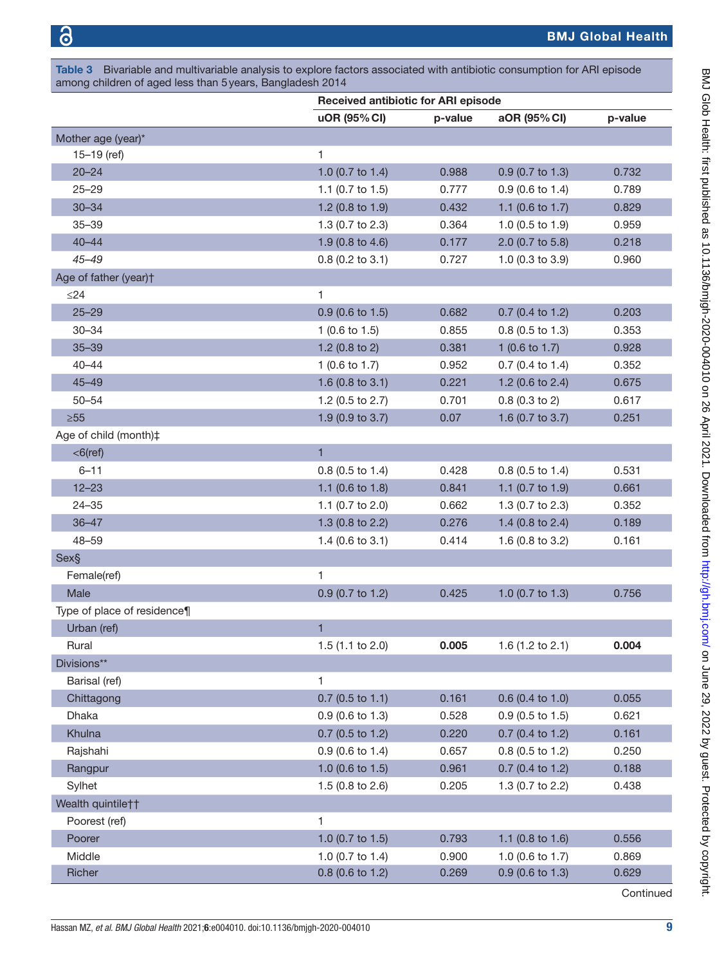<span id="page-8-0"></span>Table 3 Bivariable and multivariable analysis to explore factors associated with antibiotic consumption for ARI episode among children of aged less than 5years, Bangladesh 2014

|                             | <b>Received antibiotic for ARI episode</b> |         |                           |         |  |  |
|-----------------------------|--------------------------------------------|---------|---------------------------|---------|--|--|
|                             | uOR (95% CI)                               | p-value | aOR (95% CI)              | p-value |  |  |
| Mother age (year)*          |                                            |         |                           |         |  |  |
| $15 - 19$ (ref)             | 1                                          |         |                           |         |  |  |
| $20 - 24$                   | 1.0 (0.7 to 1.4)                           | 0.988   | $0.9$ (0.7 to 1.3)        | 0.732   |  |  |
| $25 - 29$                   | 1.1 (0.7 to 1.5)                           | 0.777   | $0.9$ (0.6 to 1.4)        | 0.789   |  |  |
| $30 - 34$                   | 1.2 (0.8 to 1.9)                           | 0.432   | 1.1 (0.6 to 1.7)          | 0.829   |  |  |
| $35 - 39$                   | 1.3 (0.7 to 2.3)                           | 0.364   | 1.0 $(0.5$ to 1.9)        | 0.959   |  |  |
| $40 - 44$                   | 1.9 (0.8 to 4.6)                           | 0.177   | 2.0 (0.7 to 5.8)          | 0.218   |  |  |
| $45 - 49$                   | $0.8$ (0.2 to 3.1)                         | 0.727   | 1.0 (0.3 to 3.9)          | 0.960   |  |  |
| Age of father (year)+       |                                            |         |                           |         |  |  |
| $\leq$ 24                   | 1                                          |         |                           |         |  |  |
| $25 - 29$                   | $0.9$ (0.6 to 1.5)                         | 0.682   | $0.7$ (0.4 to 1.2)        | 0.203   |  |  |
| $30 - 34$                   | 1 $(0.6 \text{ to } 1.5)$                  | 0.855   | $0.8$ (0.5 to 1.3)        | 0.353   |  |  |
| $35 - 39$                   | 1.2 $(0.8 \text{ to } 2)$                  | 0.381   | 1 $(0.6 \text{ to } 1.7)$ | 0.928   |  |  |
| $40 - 44$                   | 1 $(0.6 \text{ to } 1.7)$                  | 0.952   | $0.7$ (0.4 to 1.4)        | 0.352   |  |  |
| $45 - 49$                   | 1.6 (0.8 to 3.1)                           | 0.221   | 1.2 (0.6 to 2.4)          | 0.675   |  |  |
| $50 - 54$                   | 1.2 (0.5 to 2.7)                           | 0.701   | $0.8$ (0.3 to 2)          | 0.617   |  |  |
| $\geq 55$                   | 1.9 (0.9 to 3.7)                           | 0.07    | 1.6 (0.7 to 3.7)          | 0.251   |  |  |
| Age of child (month)‡       |                                            |         |                           |         |  |  |
| $<$ 6(ref)                  | $\mathbf{1}$                               |         |                           |         |  |  |
| $6 - 11$                    | $0.8$ (0.5 to 1.4)                         | 0.428   | $0.8$ (0.5 to 1.4)        | 0.531   |  |  |
| $12 - 23$                   | 1.1 (0.6 to 1.8)                           | 0.841   | 1.1 (0.7 to 1.9)          | 0.661   |  |  |
| $24 - 35$                   | 1.1 (0.7 to 2.0)                           | 0.662   | 1.3 (0.7 to 2.3)          | 0.352   |  |  |
| $36 - 47$                   | 1.3 (0.8 to 2.2)                           | 0.276   | 1.4 (0.8 to 2.4)          | 0.189   |  |  |
| $48 - 59$                   | $1.4$ (0.6 to 3.1)                         | 0.414   | 1.6 (0.8 to 3.2)          | 0.161   |  |  |
| Sex§                        |                                            |         |                           |         |  |  |
| Female(ref)                 | 1                                          |         |                           |         |  |  |
| Male                        | 0.9 (0.7 to 1.2)                           | 0.425   | 1.0 (0.7 to 1.3)          | 0.756   |  |  |
| Type of place of residence¶ |                                            |         |                           |         |  |  |
| Urban (ref)                 | 1                                          |         |                           |         |  |  |
| Rural                       | 1.5 (1.1 to 2.0)                           | 0.005   | 1.6 (1.2 to 2.1)          | 0.004   |  |  |
| Divisions**                 |                                            |         |                           |         |  |  |
| Barisal (ref)               | 1                                          |         |                           |         |  |  |
| Chittagong                  | $0.7$ (0.5 to 1.1)                         | 0.161   | $0.6$ (0.4 to 1.0)        | 0.055   |  |  |
| Dhaka                       | $0.9$ (0.6 to 1.3)                         | 0.528   | $0.9$ (0.5 to 1.5)        | 0.621   |  |  |
| Khulna                      | $0.7(0.5 \text{ to } 1.2)$                 | 0.220   | $0.7$ (0.4 to 1.2)        | 0.161   |  |  |
| Rajshahi                    | $0.9$ (0.6 to 1.4)                         | 0.657   | $0.8$ (0.5 to 1.2)        | 0.250   |  |  |
| Rangpur                     | 1.0 (0.6 to 1.5)                           | 0.961   | $0.7$ (0.4 to 1.2)        | 0.188   |  |  |
| Sylhet                      | 1.5 (0.8 to 2.6)                           | 0.205   | 1.3 (0.7 to 2.2)          | 0.438   |  |  |
| Wealth quintile††           |                                            |         |                           |         |  |  |
| Poorest (ref)               | 1                                          |         |                           |         |  |  |
| Poorer                      | 1.0 (0.7 to 1.5)                           | 0.793   | 1.1 (0.8 to 1.6)          | 0.556   |  |  |
| Middle                      | 1.0 (0.7 to 1.4)                           | 0.900   | 1.0 (0.6 to 1.7)          | 0.869   |  |  |
| Richer                      | 0.8 (0.6 to 1.2)                           | 0.269   | $0.9$ (0.6 to 1.3)        | 0.629   |  |  |

BMJ Glob Health: first published as 10.1136/bmigh-2020-004010 on 26 April 2021. Downloaded from http://gh.bmj.com/ on June 29, 2022 by guest. Protected by copyright. BMJ Glob Health: first published as 10.1136/bmjgh-2020-004010 on 26 April 2021. Downloaded from <http://gh.bmj.com/> on June 29, 2022 by guest. Protected by copyright

**Continued**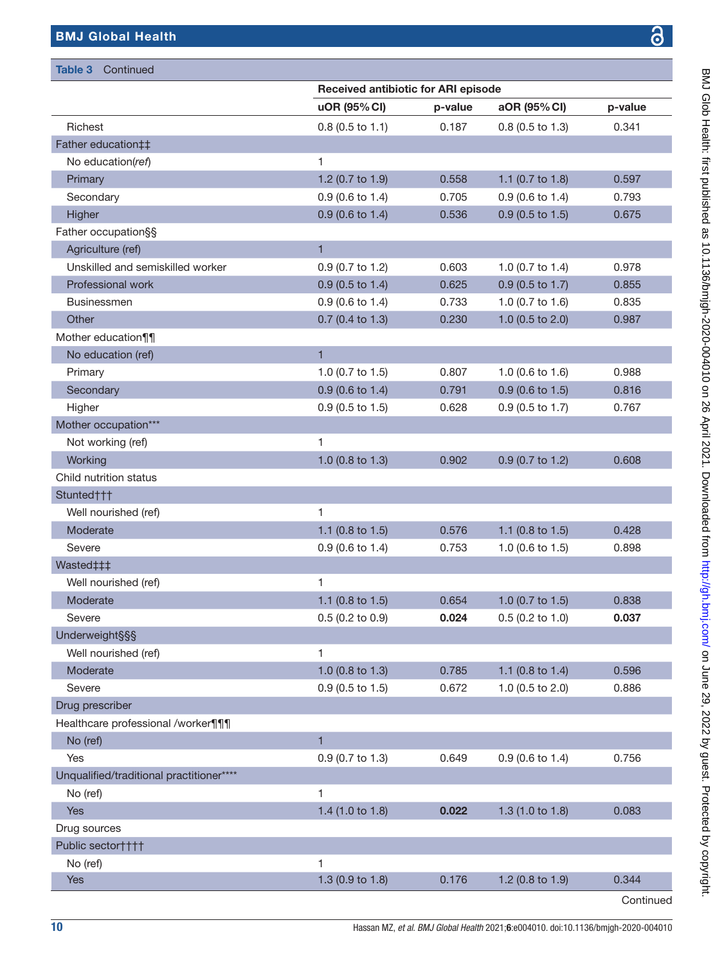Table 3 Continued

I.

F

F

I.

|                                          | <b>Received antibiotic for ARI episode</b> |         |                             |         |  |  |
|------------------------------------------|--------------------------------------------|---------|-----------------------------|---------|--|--|
|                                          | uOR (95% CI)                               | p-value | aOR (95% CI)                | p-value |  |  |
| Richest                                  | $0.8$ (0.5 to 1.1)                         | 0.187   | $0.8$ (0.5 to 1.3)          | 0.341   |  |  |
| Father education##                       |                                            |         |                             |         |  |  |
| No education(ref)                        | $\mathbf{1}$                               |         |                             |         |  |  |
| Primary                                  | 1.2 (0.7 to 1.9)                           | 0.558   | 1.1 (0.7 to 1.8)            | 0.597   |  |  |
| Secondary                                | $0.9$ (0.6 to 1.4)                         | 0.705   | $0.9$ (0.6 to 1.4)          | 0.793   |  |  |
| Higher                                   | $0.9$ (0.6 to 1.4)                         | 0.536   | $0.9$ (0.5 to 1.5)          | 0.675   |  |  |
| Father occupation§§                      |                                            |         |                             |         |  |  |
| Agriculture (ref)                        | $\mathbf{1}$                               |         |                             |         |  |  |
| Unskilled and semiskilled worker         | 0.9 (0.7 to 1.2)                           | 0.603   | 1.0 (0.7 to 1.4)            | 0.978   |  |  |
| Professional work                        | $0.9$ (0.5 to 1.4)                         | 0.625   | $0.9$ (0.5 to 1.7)          | 0.855   |  |  |
| <b>Businessmen</b>                       | $0.9$ (0.6 to 1.4)                         | 0.733   | 1.0 (0.7 to 1.6)            | 0.835   |  |  |
| Other                                    | $0.7$ (0.4 to 1.3)                         | 0.230   | 1.0 (0.5 to 2.0)            | 0.987   |  |  |
| Mother education¶¶                       |                                            |         |                             |         |  |  |
| No education (ref)                       | $\mathbf{1}$                               |         |                             |         |  |  |
| Primary                                  | 1.0 (0.7 to 1.5)                           | 0.807   | 1.0 $(0.6 \text{ to } 1.6)$ | 0.988   |  |  |
| Secondary                                | $0.9$ (0.6 to 1.4)                         | 0.791   | $0.9$ (0.6 to 1.5)          | 0.816   |  |  |
| Higher                                   | $0.9$ (0.5 to 1.5)                         | 0.628   | 0.9 (0.5 to 1.7)            | 0.767   |  |  |
| Mother occupation***                     |                                            |         |                             |         |  |  |
| Not working (ref)                        | 1                                          |         |                             |         |  |  |
| Working                                  | 1.0 $(0.8 \text{ to } 1.3)$                | 0.902   | 0.9 (0.7 to 1.2)            | 0.608   |  |  |
| Child nutrition status                   |                                            |         |                             |         |  |  |
| Stunted†††                               |                                            |         |                             |         |  |  |
| Well nourished (ref)                     | 1                                          |         |                             |         |  |  |
| Moderate                                 | 1.1 $(0.8 \text{ to } 1.5)$                | 0.576   | 1.1 (0.8 to 1.5)            | 0.428   |  |  |
| Severe                                   | $0.9$ (0.6 to 1.4)                         | 0.753   | 1.0 $(0.6 \text{ to } 1.5)$ | 0.898   |  |  |
| Wasted‡‡‡                                |                                            |         |                             |         |  |  |
| Well nourished (ref)                     | 1                                          |         |                             |         |  |  |
| Moderate                                 | 1.1 (0.8 to 1.5)                           | 0.654   | 1.0 (0.7 to 1.5)            | 0.838   |  |  |
| Severe                                   | $0.5$ (0.2 to 0.9)                         | 0.024   | $0.5$ (0.2 to 1.0)          | 0.037   |  |  |
| <b>Underweight§§§</b>                    |                                            |         |                             |         |  |  |
| Well nourished (ref)                     | 1                                          |         |                             |         |  |  |
| Moderate                                 | 1.0 (0.8 to 1.3)                           | 0.785   | 1.1 (0.8 to 1.4)            | 0.596   |  |  |
| Severe                                   | 0.9 (0.5 to 1.5)                           | 0.672   | 1.0 (0.5 to 2.0)            | 0.886   |  |  |
| Drug prescriber                          |                                            |         |                             |         |  |  |
| Healthcare professional /worker¶¶¶       |                                            |         |                             |         |  |  |
| No (ref)                                 | $\mathbf{1}$                               |         |                             |         |  |  |
| Yes                                      | 0.9 (0.7 to 1.3)                           | 0.649   | $0.9$ (0.6 to 1.4)          | 0.756   |  |  |
| Unqualified/traditional practitioner**** |                                            |         |                             |         |  |  |
| No (ref)                                 | 1                                          |         |                             |         |  |  |
| <b>Yes</b>                               | 1.4 $(1.0 to 1.8)$                         | 0.022   | 1.3 $(1.0 to 1.8)$          | 0.083   |  |  |
| Drug sources                             |                                            |         |                             |         |  |  |
| Public sector††††                        |                                            |         |                             |         |  |  |
| No (ref)                                 | 1                                          |         |                             |         |  |  |
| Yes                                      | 1.3 (0.9 to 1.8)                           | 0.176   | 1.2 (0.8 to 1.9)            | 0.344   |  |  |

Continued

I

I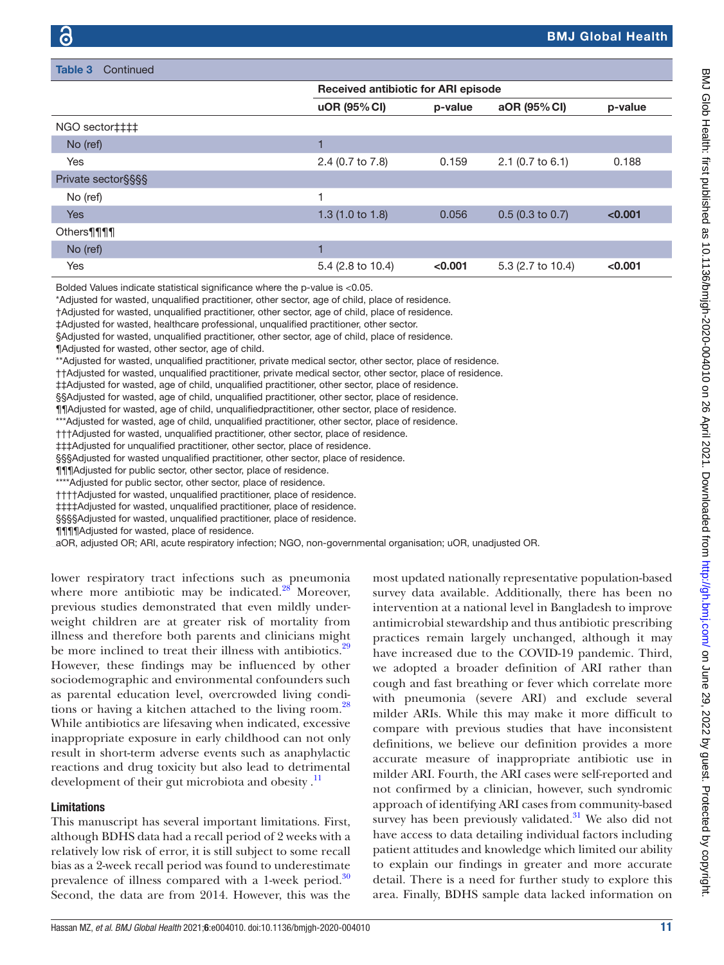| Table 3<br>Continued |                                            |         |                    |         |  |  |  |
|----------------------|--------------------------------------------|---------|--------------------|---------|--|--|--|
|                      | <b>Received antibiotic for ARI episode</b> |         |                    |         |  |  |  |
|                      | uOR (95% CI)                               | p-value | aOR (95% CI)       | p-value |  |  |  |
| NGO sector‡‡‡‡       |                                            |         |                    |         |  |  |  |
| No (ref)             |                                            |         |                    |         |  |  |  |
| Yes                  | 2.4 (0.7 to 7.8)                           | 0.159   | $2.1$ (0.7 to 6.1) | 0.188   |  |  |  |
| Private sector§§§§   |                                            |         |                    |         |  |  |  |
| No (ref)             | 1                                          |         |                    |         |  |  |  |
| <b>Yes</b>           | 1.3(1.0 to 1.8)                            | 0.056   | $0.5$ (0.3 to 0.7) | < 0.001 |  |  |  |
| Others¶¶¶            |                                            |         |                    |         |  |  |  |
| No (ref)             |                                            |         |                    |         |  |  |  |
| Yes                  | 5.4 (2.8 to 10.4)                          | < 0.001 | 5.3 (2.7 to 10.4)  | < 0.001 |  |  |  |

Bolded Values indicate statistical significance where the p-value is <0.05.

\*Adjusted for wasted, unqualified practitioner, other sector, age of child, place of residence.

†Adjusted for wasted, unqualified practitioner, other sector, age of child, place of residence.

‡Adjusted for wasted, healthcare professional, unqualified practitioner, other sector.

§Adjusted for wasted, unqualified practitioner, other sector, age of child, place of residence.

¶Adjusted for wasted, other sector, age of child.

\*\*Adjusted for wasted, unqualified practitioner, private medical sector, other sector, place of residence.

††Adjusted for wasted, unqualified practitioner, private medical sector, other sector, place of residence.

‡‡Adjusted for wasted, age of child, unqualified practitioner, other sector, place of residence.

§§Adjusted for wasted, age of child, unqualified practitioner, other sector, place of residence.

¶¶Adjusted for wasted, age of child, unqualifiedpractitioner, other sector, place of residence.

\*\*\*Adjusted for wasted, age of child, unqualified practitioner, other sector, place of residence.

†††Adjusted for wasted, unqualified practitioner, other sector, place of residence.

‡‡‡Adjusted for unqualified practitioner, other sector, place of residence.

§§§Adjusted for wasted unqualified practitioner, other sector, place of residence.

¶¶¶Adjusted for public sector, other sector, place of residence.

\*\*\*\*Adjusted for public sector, other sector, place of residence.

††††Adjusted for wasted, unqualified practitioner, place of residence.

‡‡‡‡Adjusted for wasted, unqualified practitioner, place of residence.

§§§§Adjusted for wasted, unqualified practitioner, place of residence.

¶¶¶¶Adjusted for wasted, place of residence.

aOR, adjusted OR; ARI, acute respiratory infection; NGO, non-governmental organisation; uOR, unadjusted OR.

lower respiratory tract infections such as pneumonia where more antibiotic may be indicated. $28$  Moreover, previous studies demonstrated that even mildly underweight children are at greater risk of mortality from illness and therefore both parents and clinicians might be more inclined to treat their illness with antibiotics.<sup>[29](#page-12-10)</sup> However, these findings may be influenced by other sociodemographic and environmental confounders such as parental education level, overcrowded living conditions or having a kitchen attached to the living room.<sup>28</sup> While antibiotics are lifesaving when indicated, excessive inappropriate exposure in early childhood can not only result in short-term adverse events such as anaphylactic reactions and drug toxicity but also lead to detrimental development of their gut microbiota and obesity. $\frac{11}{11}$  $\frac{11}{11}$  $\frac{11}{11}$ 

#### Limitations

This manuscript has several important limitations. First, although BDHS data had a recall period of 2 weeks with a relatively low risk of error, it is still subject to some recall bias as a 2-week recall period was found to underestimate prevalence of illness compared with a 1-week period.<sup>[30](#page-12-11)</sup> Second, the data are from 2014. However, this was the

most updated nationally representative population-based survey data available. Additionally, there has been no intervention at a national level in Bangladesh to improve antimicrobial stewardship and thus antibiotic prescribing practices remain largely unchanged, although it may have increased due to the COVID-19 pandemic. Third, we adopted a broader definition of ARI rather than cough and fast breathing or fever which correlate more with pneumonia (severe ARI) and exclude several milder ARIs. While this may make it more difficult to compare with previous studies that have inconsistent definitions, we believe our definition provides a more accurate measure of inappropriate antibiotic use in milder ARI. Fourth, the ARI cases were self-reported and not confirmed by a clinician, however, such syndromic approach of identifying ARI cases from community-based survey has been previously validated. $31$  We also did not have access to data detailing individual factors including patient attitudes and knowledge which limited our ability to explain our findings in greater and more accurate detail. There is a need for further study to explore this area. Finally, BDHS sample data lacked information on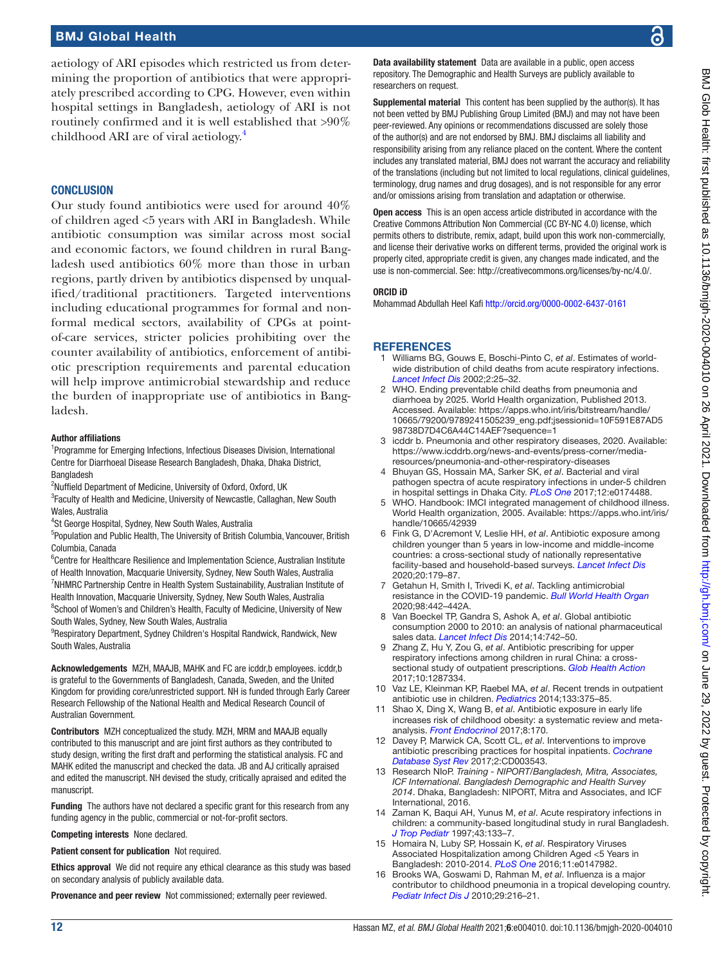aetiology of ARI episodes which restricted us from determining the proportion of antibiotics that were appropriately prescribed according to CPG. However, even within hospital settings in Bangladesh, aetiology of ARI is not routinely confirmed and it is well established that >90% childhood ARI are of viral aetiology.[4](#page-11-2)

#### **CONCLUSION**

Our study found antibiotics were used for around 40% of children aged <5 years with ARI in Bangladesh. While antibiotic consumption was similar across most social and economic factors, we found children in rural Bangladesh used antibiotics 60% more than those in urban regions, partly driven by antibiotics dispensed by unqualified/traditional practitioners. Targeted interventions including educational programmes for formal and nonformal medical sectors, availability of CPGs at pointof-care services, stricter policies prohibiting over the counter availability of antibiotics, enforcement of antibiotic prescription requirements and parental education will help improve antimicrobial stewardship and reduce the burden of inappropriate use of antibiotics in Bangladesh.

#### Author affiliations

<sup>1</sup>Programme for Emerging Infections, Infectious Diseases Division, International Centre for Diarrhoeal Disease Research Bangladesh, Dhaka, Dhaka District, Bangladesh

<sup>2</sup>Nuffield Department of Medicine, University of Oxford, Oxford, UK

<sup>3</sup> Faculty of Health and Medicine, University of Newcastle, Callaghan, New South Wales, Australia

4 St George Hospital, Sydney, New South Wales, Australia

5 Population and Public Health, The University of British Columbia, Vancouver, British Columbia, Canada

<sup>6</sup>Centre for Healthcare Resilience and Implementation Science, Australian Institute of Health Innovation, Macquarie University, Sydney, New South Wales, Australia <sup>7</sup>NHMRC Partnership Centre in Health System Sustainability, Australian Institute of Health Innovation, Macquarie University, Sydney, New South Wales, Australia <sup>8</sup>School of Women's and Children's Health, Faculty of Medicine, University of New South Wales, Sydney, New South Wales, Australia

<sup>9</sup>Respiratory Department, Sydney Children's Hospital Randwick, Randwick, New South Wales, Australia

Acknowledgements MZH, MAAJB, MAHK and FC are icddr,b employees. icddr,b is grateful to the Governments of Bangladesh, Canada, Sweden, and the United Kingdom for providing core/unrestricted support. NH is funded through Early Career Research Fellowship of the National Health and Medical Research Council of Australian Government.

Contributors MZH conceptualized the study. MZH, MRM and MAAJB equally contributed to this manuscript and are joint first authors as they contributed to study design, writing the first draft and performing the statistical analysis. FC and MAHK edited the manuscript and checked the data. JB and AJ critically apraised and edited the manuscript. NH devised the study, critically apraised and edited the manuscript.

Funding The authors have not declared a specific grant for this research from any funding agency in the public, commercial or not-for-profit sectors.

Competing interests None declared.

Patient consent for publication Not required.

Ethics approval We did not require any ethical clearance as this study was based on secondary analysis of publicly available data.

Provenance and peer review Not commissioned; externally peer reviewed.

Data availability statement Data are available in a public, open access repository. The Demographic and Health Surveys are publicly available to researchers on request.

Supplemental material This content has been supplied by the author(s). It has not been vetted by BMJ Publishing Group Limited (BMJ) and may not have been peer-reviewed. Any opinions or recommendations discussed are solely those of the author(s) and are not endorsed by BMJ. BMJ disclaims all liability and responsibility arising from any reliance placed on the content. Where the content includes any translated material, BMJ does not warrant the accuracy and reliability of the translations (including but not limited to local regulations, clinical guidelines, terminology, drug names and drug dosages), and is not responsible for any error and/or omissions arising from translation and adaptation or otherwise.

Open access This is an open access article distributed in accordance with the Creative Commons Attribution Non Commercial (CC BY-NC 4.0) license, which permits others to distribute, remix, adapt, build upon this work non-commercially, and license their derivative works on different terms, provided the original work is properly cited, appropriate credit is given, any changes made indicated, and the use is non-commercial. See: [http://creativecommons.org/licenses/by-nc/4.0/.](http://creativecommons.org/licenses/by-nc/4.0/)

#### ORCID iD

Mohammad Abdullah Heel Kafi <http://orcid.org/0000-0002-6437-0161>

#### **REFERENCES**

- <span id="page-11-0"></span>1 Williams BG, Gouws E, Boschi-Pinto C, *et al*. Estimates of worldwide distribution of child deaths from acute respiratory infections. *[Lancet Infect Dis](http://dx.doi.org/10.1016/s1473-3099(01)00170-0)* 2002;2:25–32.
- 2 WHO. Ending preventable child deaths from pneumonia and diarrhoea by 2025. World Health organization, Published 2013. Accessed. Available: [https://apps.who.int/iris/bitstream/handle/](https://apps.who.int/iris/bitstream/handle/10665/79200/9789241505239_eng.pdf;jsessionid=10F591E87AD598738D7D4C6A44C14AEF?sequence=1) [10665/79200/9789241505239\\_eng.pdf;jsessionid=10F591E87AD5](https://apps.who.int/iris/bitstream/handle/10665/79200/9789241505239_eng.pdf;jsessionid=10F591E87AD598738D7D4C6A44C14AEF?sequence=1) [98738D7D4C6A44C14AEF?sequence=1](https://apps.who.int/iris/bitstream/handle/10665/79200/9789241505239_eng.pdf;jsessionid=10F591E87AD598738D7D4C6A44C14AEF?sequence=1)
- <span id="page-11-1"></span>3 icddr b. Pneumonia and other respiratory diseases, 2020. Available: [https://www.icddrb.org/news-and-events/press-corner/media](https://www.icddrb.org/news-and-events/press-corner/media-resources/pneumonia-and-other-respiratory-diseases)[resources/pneumonia-and-other-respiratory-diseases](https://www.icddrb.org/news-and-events/press-corner/media-resources/pneumonia-and-other-respiratory-diseases)
- <span id="page-11-2"></span>4 Bhuyan GS, Hossain MA, Sarker SK, *et al*. Bacterial and viral pathogen spectra of acute respiratory infections in under-5 children in hospital settings in Dhaka City. *[PLoS One](http://dx.doi.org/10.1371/journal.pone.0174488)* 2017;12:e0174488.
- <span id="page-11-3"></span>5 WHO. Handbook: IMCI integrated management of childhood illness. World Health organization, 2005. Available: [https://apps.who.int/iris/](https://apps.who.int/iris/handle/10665/42939) [handle/10665/42939](https://apps.who.int/iris/handle/10665/42939)
- <span id="page-11-4"></span>6 Fink G, D'Acremont V, Leslie HH, *et al*. Antibiotic exposure among children younger than 5 years in low-income and middle-income countries: a cross-sectional study of nationally representative facility-based and household-based surveys. *[Lancet Infect Dis](http://dx.doi.org/10.1016/S1473-3099(19)30572-9)* 2020;20:179–87.
- <span id="page-11-5"></span>7 Getahun H, Smith I, Trivedi K, *et al*. Tackling antimicrobial resistance in the COVID-19 pandemic. *[Bull World Health Organ](http://dx.doi.org/10.2471/BLT.20.268573)* 2020;98:442–442A.
- <span id="page-11-6"></span>8 Van Boeckel TP, Gandra S, Ashok A, *et al*. Global antibiotic consumption 2000 to 2010: an analysis of national pharmaceutical sales data. *[Lancet Infect Dis](http://dx.doi.org/10.1016/S1473-3099(14)70780-7)* 2014;14:742–50.
- 9 Zhang Z, Hu Y, Zou G, *et al*. Antibiotic prescribing for upper respiratory infections among children in rural China: a crosssectional study of outpatient prescriptions. *[Glob Health Action](http://dx.doi.org/10.1080/16549716.2017.1287334)* 2017;10:1287334.
- <span id="page-11-7"></span>10 Vaz LE, Kleinman KP, Raebel MA, *et al*. Recent trends in outpatient antibiotic use in children. *[Pediatrics](http://dx.doi.org/10.1542/peds.2013-2903)* 2014;133:375–85.
- <span id="page-11-8"></span>11 Shao X, Ding X, Wang B, *et al*. Antibiotic exposure in early life increases risk of childhood obesity: a systematic review and metaanalysis. *[Front Endocrinol](http://dx.doi.org/10.3389/fendo.2017.00170)* 2017;8:170.
- <span id="page-11-9"></span>12 Davey P, Marwick CA, Scott CL, *et al*. Interventions to improve antibiotic prescribing practices for hospital inpatients. *[Cochrane](http://dx.doi.org/10.1002/14651858.CD003543.pub4)  [Database Syst Rev](http://dx.doi.org/10.1002/14651858.CD003543.pub4)* 2017;2:CD003543.
- <span id="page-11-10"></span>13 Research NIoP. *Training - NIPORT/Bangladesh, Mitra, Associates, ICF International. Bangladesh Demographic and Health Survey 2014*. Dhaka, Bangladesh: NIPORT, Mitra and Associates, and ICF International, 2016.
- <span id="page-11-11"></span>14 Zaman K, Baqui AH, Yunus M, *et al*. Acute respiratory infections in children: a community-based longitudinal study in rural Bangladesh. *[J Trop Pediatr](http://dx.doi.org/10.1093/tropej/43.3.133)* 1997;43:133–7.
- <span id="page-11-12"></span>15 Homaira N, Luby SP, Hossain K, *et al*. Respiratory Viruses Associated Hospitalization among Children Aged <5 Years in Bangladesh: 2010-2014. *[PLoS One](http://dx.doi.org/10.1371/journal.pone.0147982)* 2016;11:e0147982.
- 16 Brooks WA, Goswami D, Rahman M, *et al*. Influenza is a major contributor to childhood pneumonia in a tropical developing country. *[Pediatr Infect Dis J](http://dx.doi.org/10.1097/INF.0b013e3181bc23fd)* 2010;29:216–21.